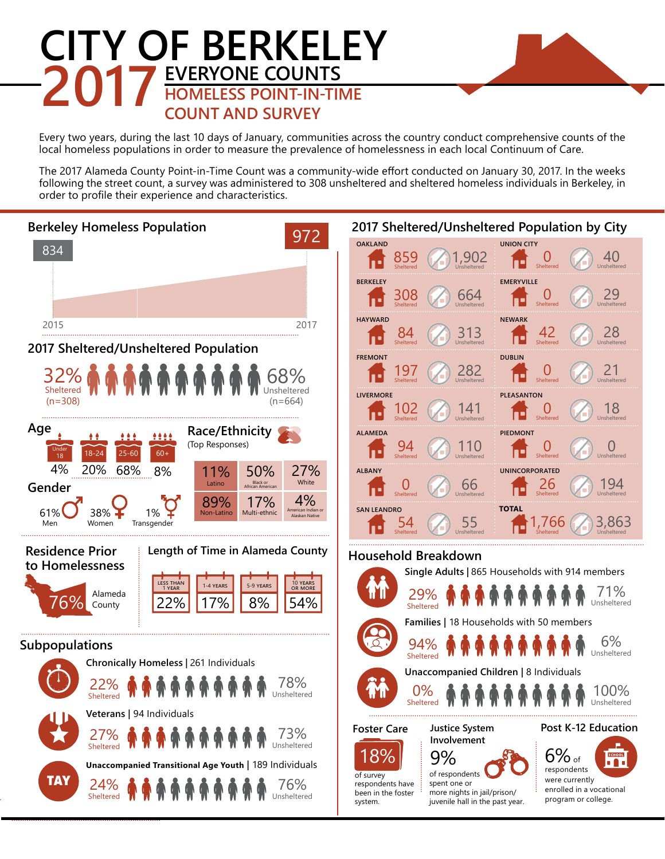## **CITY OF BERKELEY 2017** EVERYONE COUNTS<br> **EVERYONE COUNT-IN-TIME**<br> **COUNT AND SURVEY COUNT AND SURVEY**

Every two years, during the last 10 days of January, communities across the country conduct comprehensive counts of the local homeless populations in order to measure the prevalence of homelessness in each local Continuum of Care.

The 2017 Alameda County Point-in-Time Count was a community-wide effort conducted on January 30, 2017. In the weeks following the street count, a survey was administered to 308 unsheltered and sheltered homeless individuals in Berkeley, in order to profile their experience and characteristics.